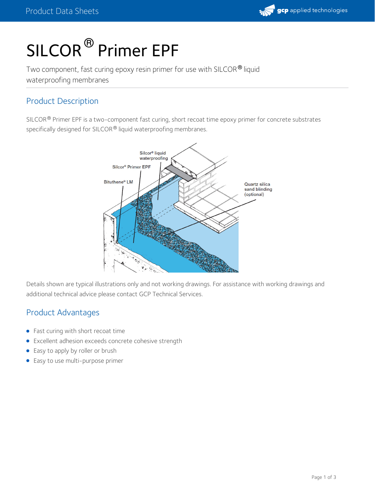

# SILCOR<sup>®</sup> Primer EPF

Two component, fast curing epoxy resin primer for use with SILCOR® liquid waterproofing membranes

# Product Description

SILCOR  $^{\circledR}$  Primer EPF is a two-component fast curing, short recoat time epoxy primer for concrete substrates specifically designed for SILCOR® liquid waterproofing membranes.



Details shown are typical illustrations only and not working drawings. For assistance with working drawings and additional technical advice please contact GCP Technical Services.

# Product Advantages

- Fast curing with short recoat time
- Excellent adhesion exceeds concrete cohesive strength
- Easy to apply by roller or brush
- Easy to use multi-purpose primer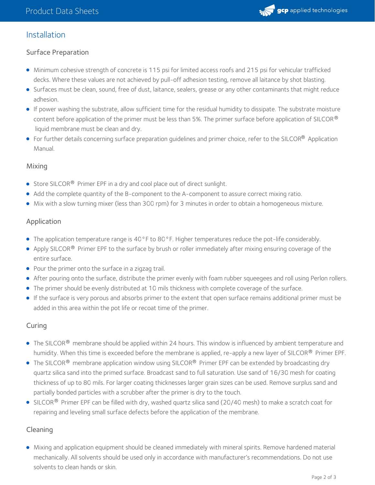

## Installation

#### Surface Preparation

- Minimum cohesive strength of concrete is 115 psi for limited access roofs and 215 psi for vehicular trafficked decks. Where these values are not achieved by pull-off adhesion testing, remove all laitance by shot blasting.
- Surfaces must be clean, sound, free of dust, laitance, sealers, grease or any other contaminants that might reduce adhesion.
- If power washing the substrate, allow sufficient time for the residual humidity to dissipate. The substrate moisture content before application of the primer must be less than 5%. The primer surface before application of SILCOR  $^\circ$ liquid membrane must be clean and dry.
- For further details concerning surface preparation guidelines and primer choice, refer to the SILCOR® Application Manual.

#### Mixing

- Store SILCOR<sup>®</sup> Primer EPF in a dry and cool place out of direct sunlight.
- Add the complete quantity of the B-component to the A-component to assure correct mixing ratio.
- Mix with a slow turning mixer (less than 300 rpm) for 3 minutes in order to obtain a homogeneous mixture.

#### Application

- The application temperature range is 40°F to 80°F. Higher temperatures reduce the pot-life considerably.
- Apply SILCOR $^\circledR$  Primer EPF to the surface by brush or roller immediately after mixing ensuring coverage of the entire surface.
- Pour the primer onto the surface in a zigzag trail.
- After pouring onto the surface, distribute the primer evenly with foam rubber squeegees and roll using Perlon rollers.
- The primer should be evenly distributed at 10 mils thickness with complete coverage of the surface.
- If the surface is very porous and absorbs primer to the extent that open surface remains additional primer must be added in this area within the pot life or recoat time of the primer.

#### Curing

- The SILCOR® membrane should be applied within 24 hours. This window is influenced by ambient temperature and humidity. When this time is exceeded before the membrane is applied, re-apply a new layer of SILCOR® Primer EPF.
- The SILCOR® membrane application window using SILCOR® Primer EPF can be extended by broadcasting dry quartz silica sand into the primed surface. Broadcast sand to full saturation. Use sand of 16/30 mesh for coating thickness of up to 80 mils. For larger coating thicknesses larger grain sizes can be used. Remove surplus sand and partially bonded particles with a scrubber after the primer is dry to the touch.
- SILCOR $^\circledR$  Primer EPF can be filled with dry, washed quartz silica sand (20/40 mesh) to make a scratch coat for repairing and leveling small surface defects before the application of the membrane.

#### Cleaning

Mixing and application equipment should be cleaned immediately with mineral spirits. Remove hardened material mechanically. All solvents should be used only in accordance with manufacturer's recommendations. Do not use solvents to clean hands or skin.